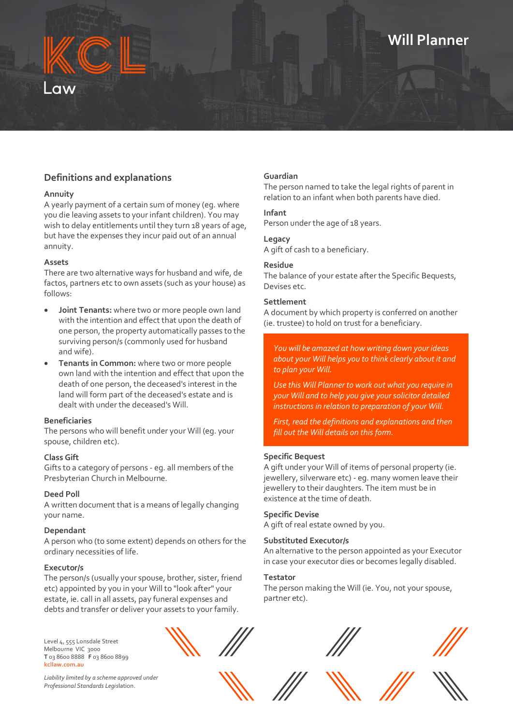# **Will Planner**



#### **Annuity**

A yearly payment of a certain sum of money (eg. where you die leaving assets to your infant children). You may wish to delay entitlements until they turn 18 years of age, but have the expenses they incur paid out of an annual annuity.

#### **Assets**

There are two alternative ways for husband and wife, de factos, partners etc to own assets (such as your house) as follows:

- **Joint Tenants:** where two or more people own land with the intention and effect that upon the death of one person, the property automatically passes to the surviving person/s (commonly used for husband and wife).
- **Tenants in Common:** where two or more people own land with the intention and effect that upon the death of one person, the deceased's interest in the land will form part of the deceased's estate and is dealt with under the deceased's Will.

#### **Beneficiaries**

The persons who will benefit under your Will (eg. your spouse, children etc).

#### **Class Gift**

Gifts to a category of persons - eg. all members of the Presbyterian Church in Melbourne.

#### **Deed Poll**

A written document that is a means of legally changing your name.

#### **Dependant**

A person who (to some extent) depends on others for the ordinary necessities of life.

#### **Executor/s**

The person/s (usually your spouse, brother, sister, friend etc) appointed by you in your Will to "look after" your estate, ie. call in all assets, pay funeral expenses and debts and transfer or deliver your assets to your family.

Level 4, 555 Lonsdale Street Melbourne VIC 3000 **T** 03 8600 8888 **F** 03 8600 8899 **kcllaw.com.au**



*Liability limited by a scheme approved under Professional Standards Legis*lation.

#### **Guardian**

The person named to take the legal rights of parent in relation to an infant when both parents have died.

### **Infant**

Person under the age of 18 years.

### **Legacy**

A gift of cash to a beneficiary.

#### **Residue**

The balance of your estate after the Specific Bequests, Devises etc.

#### **Settlement**

A document by which property is conferred on another (ie. trustee) to hold on trust for a beneficiary.

*You will be amazed at how writing down your ideas about your Will helps you to think clearly about it and to plan your Will.*

*Use this Will Planner to work out what you require in your Will and to help you give your solicitor detailed instructions in relation to preparation of your Will.*

*First, read the definitions and explanations and then fill out the Will details on this form.*

#### **Specific Bequest**

A gift under your Will of items of personal property (ie. jewellery, silverware etc) - eg. many women leave their jewellery to their daughters. The item must be in existence at the time of death.

#### **Specific Devise**

A gift of real estate owned by you.

#### **Substituted Executor/s**

An alternative to the person appointed as your Executor in case your executor dies or becomes legally disabled.

#### **Testator**

The person making the Will (ie. You, not your spouse, partner etc).







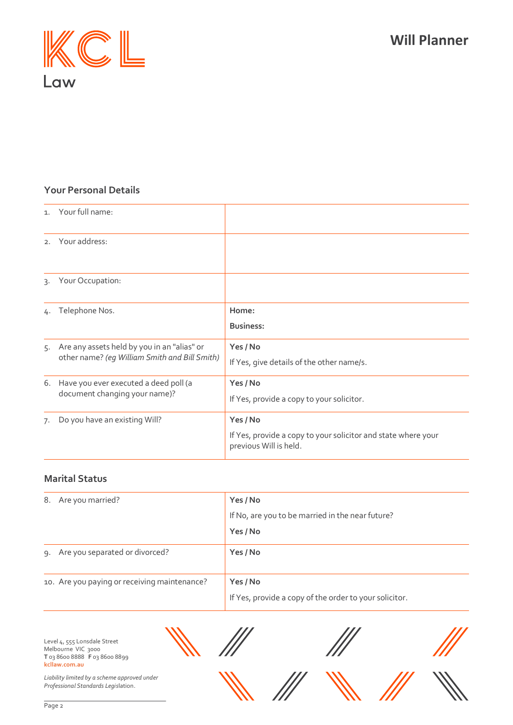

## **Your Personal Details**

|    | 1. Your full name:                                                                           |                                                                                                     |
|----|----------------------------------------------------------------------------------------------|-----------------------------------------------------------------------------------------------------|
|    | 2. Your address:                                                                             |                                                                                                     |
| 3. | Your Occupation:                                                                             |                                                                                                     |
| 4. | Telephone Nos.                                                                               | Home:<br><b>Business:</b>                                                                           |
| 5. | Are any assets held by you in an "alias" or<br>other name? (eq William Smith and Bill Smith) | Yes / No<br>If Yes, give details of the other name/s.                                               |
| 6. | Have you ever executed a deed poll (a<br>document changing your name)?                       | Yes / No<br>If Yes, provide a copy to your solicitor.                                               |
| 7. | Do you have an existing Will?                                                                | Yes / No<br>If Yes, provide a copy to your solicitor and state where your<br>previous Will is held. |

## **Marital Status**

| 8. Are you married?                          | Yes / No                                               |
|----------------------------------------------|--------------------------------------------------------|
|                                              | If No, are you to be married in the near future?       |
|                                              | Yes / No                                               |
| 9. Are you separated or divorced?            | Yes / No                                               |
| 10. Are you paying or receiving maintenance? | Yes / No                                               |
|                                              | If Yes, provide a copy of the order to your solicitor. |

Level 4, 555 Lonsdale Street Melbourne VIC 3000 **T** 03 8600 8888 **F** 03 8600 8899 **kcllaw.com.au**

 $\mu$ 







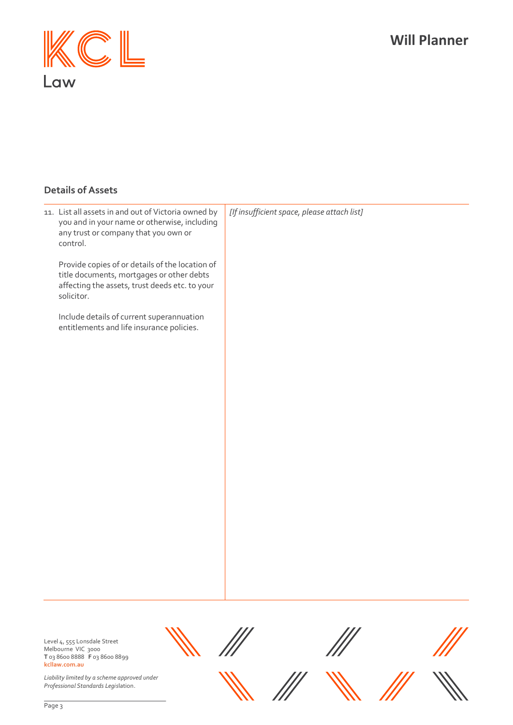# **Will Planner**



## **Details of Assets**

| Page 2 |                                                                                                                                                              |                                             |
|--------|--------------------------------------------------------------------------------------------------------------------------------------------------------------|---------------------------------------------|
|        | Liability limited by a scheme approved under<br>Professional Standards Legislation.                                                                          |                                             |
|        | Level 4, 555 Lonsdale Street<br>Melbourne VIC 3000<br>T 03 8600 8888 F 03 8600 8899<br>kcllaw.com.au                                                         |                                             |
|        |                                                                                                                                                              |                                             |
|        |                                                                                                                                                              |                                             |
|        |                                                                                                                                                              |                                             |
|        |                                                                                                                                                              |                                             |
|        |                                                                                                                                                              |                                             |
|        | Include details of current superannuation<br>entitlements and life insurance policies.                                                                       |                                             |
|        | Provide copies of or details of the location of<br>title documents, mortgages or other debts<br>affecting the assets, trust deeds etc. to your<br>solicitor. |                                             |
|        | 11. List all assets in and out of Victoria owned by<br>you and in your name or otherwise, including<br>any trust or company that you own or<br>control.      | [If insufficient space, please attach list] |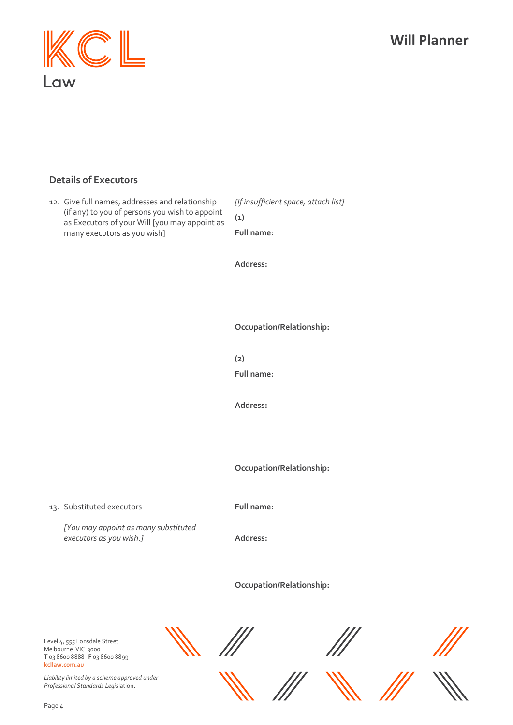# **Will Planner**



# **Details of Executors**

| 12. Give full names, addresses and relationship<br>(if any) to you of persons you wish to appoint    | [If insufficient space, attach list] |
|------------------------------------------------------------------------------------------------------|--------------------------------------|
| as Executors of your Will [you may appoint as                                                        | (1)                                  |
| many executors as you wish]                                                                          | Full name:                           |
|                                                                                                      | Address:                             |
|                                                                                                      | Occupation/Relationship:             |
|                                                                                                      | (2)                                  |
|                                                                                                      | Full name:                           |
|                                                                                                      |                                      |
|                                                                                                      | Address:                             |
|                                                                                                      |                                      |
|                                                                                                      |                                      |
|                                                                                                      | Occupation/Relationship:             |
| 13. Substituted executors                                                                            | Full name:                           |
| [You may appoint as many substituted<br>executors as you wish.]                                      | Address:                             |
|                                                                                                      | Occupation/Relationship:             |
| Level 4, 555 Lonsdale Street<br>Melbourne VIC 3000<br>T 03 8600 8888 F 03 8600 8899<br>kcllaw.com.au |                                      |
| Liability limited by a scheme approved under<br>Professional Standards Legislation.                  |                                      |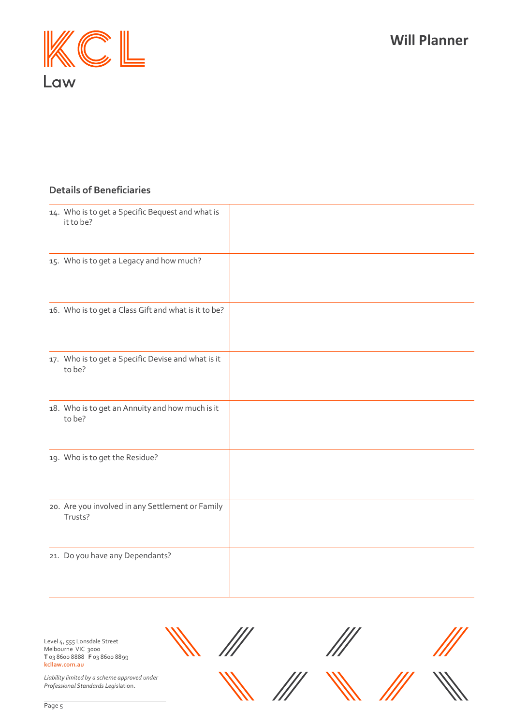



## **Details of Beneficiaries**

| 14. Who is to get a Specific Bequest and what is<br>it to be? |  |
|---------------------------------------------------------------|--|
| 15. Who is to get a Legacy and how much?                      |  |
| 16. Who is to get a Class Gift and what is it to be?          |  |
| 17. Who is to get a Specific Devise and what is it<br>to be?  |  |
| 18. Who is to get an Annuity and how much is it<br>to be?     |  |
| 19. Who is to get the Residue?                                |  |
| 20. Are you involved in any Settlement or Family<br>Trusts?   |  |
| 21. Do you have any Dependants?                               |  |

Level 4, 555 Lonsdale Street Melbourne VIC 3000 **T** 03 8600 8888 **F** 03 8600 8899 **kcllaw.com.au**

*Liability limited by a scheme approved under Professional Standards Legis*lation.



Page 5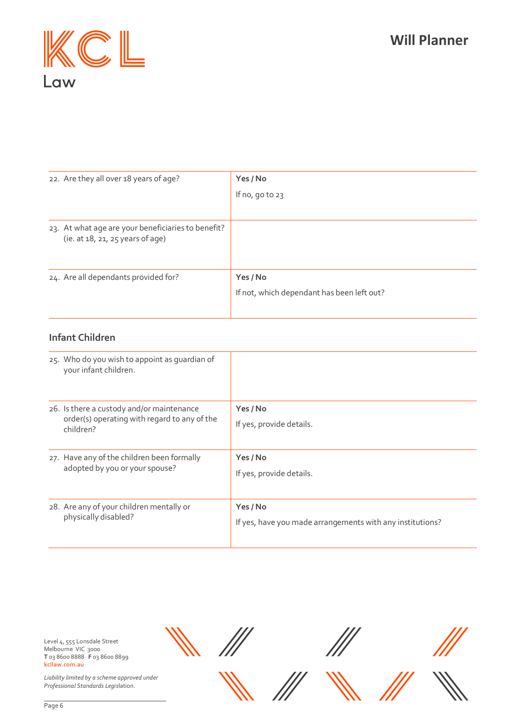

| 22. Are they all over 18 years of age?                                                 | Yes / No                                   |
|----------------------------------------------------------------------------------------|--------------------------------------------|
|                                                                                        | If $no, qo to 23$                          |
|                                                                                        |                                            |
| 23. At what age are your beneficiaries to benefit?<br>(ie. at 18, 21, 25 years of age) |                                            |
| 24. Are all dependants provided for?                                                   | Yes / No                                   |
|                                                                                        | If not, which dependant has been left out? |
|                                                                                        |                                            |

## **Infant Children**

| 25. Who do you wish to appoint as quardian of<br>your infant children.                                 |                                                                       |
|--------------------------------------------------------------------------------------------------------|-----------------------------------------------------------------------|
| 26. Is there a custody and/or maintenance<br>order(s) operating with regard to any of the<br>children? | Yes / No<br>If yes, provide details.                                  |
| 27. Have any of the children been formally<br>adopted by you or your spouse?                           | Yes / No<br>If yes, provide details.                                  |
| 28. Are any of your children mentally or<br>physically disabled?                                       | Yes / No<br>If yes, have you made arrangements with any institutions? |

Level 4, 555 Lonsdale Street Melbourne VIC 3000 **T** 03 8600 8888 **F** 03 8600 8899 **kcllaw.com.au**

///